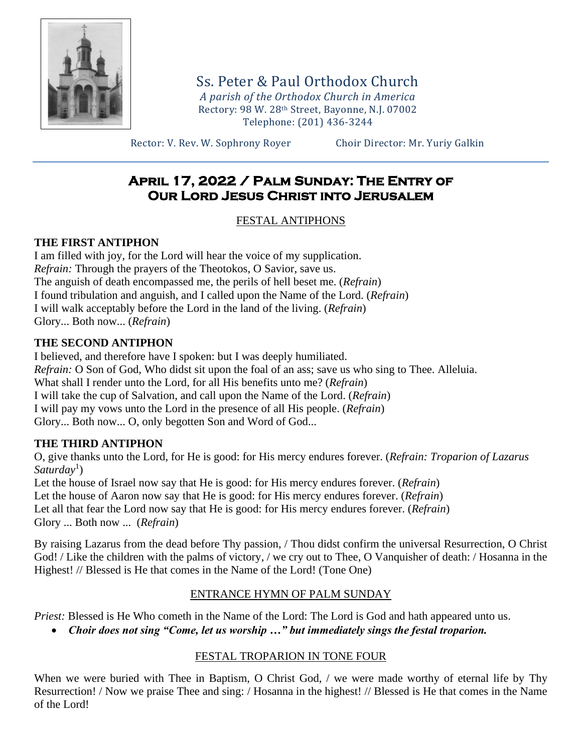

Ss. Peter & Paul Orthodox Church *A parish of the Orthodox Church in America* Rectory: 98 W. 28th Street, Bayonne, N.J. 07002 Telephone: (201) 436-3244

Rector: V. Rev. W. Sophrony Royer Choir Director: Mr. Yuriy Galkin

# **April 17, 2022 / Palm Sunday: The Entry of Our Lord Jesus Christ into Jerusalem**

## FESTAL ANTIPHONS

## **THE FIRST ANTIPHON**

I am filled with joy, for the Lord will hear the voice of my supplication. *Refrain:* Through the prayers of the Theotokos, O Savior, save us. The anguish of death encompassed me, the perils of hell beset me. (*Refrain*) I found tribulation and anguish, and I called upon the Name of the Lord. (*Refrain*) I will walk acceptably before the Lord in the land of the living. (*Refrain*) Glory... Both now... (*Refrain*)

## **THE SECOND ANTIPHON**

I believed, and therefore have I spoken: but I was deeply humiliated. *Refrain:* O Son of God, Who didst sit upon the foal of an ass; save us who sing to Thee. Alleluia. What shall I render unto the Lord, for all His benefits unto me? (*Refrain*) I will take the cup of Salvation, and call upon the Name of the Lord. (*Refrain*) I will pay my vows unto the Lord in the presence of all His people. (*Refrain*) Glory... Both now... O, only begotten Son and Word of God...

## **THE THIRD ANTIPHON**

O, give thanks unto the Lord, for He is good: for His mercy endures forever. (*Refrain: Troparion of Lazarus*  Saturday<sup>1</sup>)

Let the house of Israel now say that He is good: for His mercy endures forever. (*Refrain*) Let the house of Aaron now say that He is good: for His mercy endures forever. (*Refrain*) Let all that fear the Lord now say that He is good: for His mercy endures forever. (*Refrain*) Glory ... Both now ... (*Refrain*)

By raising Lazarus from the dead before Thy passion, / Thou didst confirm the universal Resurrection, O Christ God! / Like the children with the palms of victory, / we cry out to Thee, O Vanquisher of death: / Hosanna in the Highest! // Blessed is He that comes in the Name of the Lord! (Tone One)

## ENTRANCE HYMN OF PALM SUNDAY

*Priest:* Blessed is He Who cometh in the Name of the Lord: The Lord is God and hath appeared unto us.

• *Choir does not sing "Come, let us worship …" but immediately sings the festal troparion.*

## FESTAL TROPARION IN TONE FOUR

When we were buried with Thee in Baptism, O Christ God, / we were made worthy of eternal life by Thy Resurrection! / Now we praise Thee and sing: / Hosanna in the highest! // Blessed is He that comes in the Name of the Lord!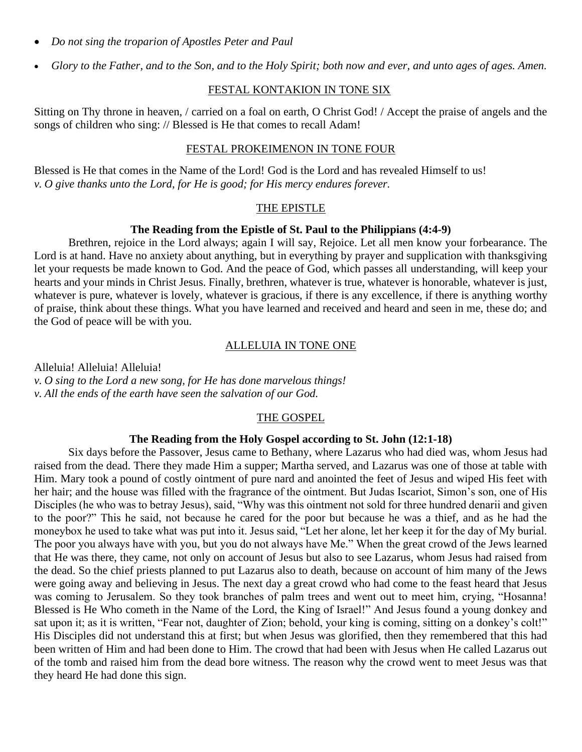- *Do not sing the troparion of Apostles Peter and Paul*
- *Glory to the Father, and to the Son, and to the Holy Spirit; both now and ever, and unto ages of ages. Amen.*

#### FESTAL KONTAKION IN TONE SIX

Sitting on Thy throne in heaven, / carried on a foal on earth, O Christ God! / Accept the praise of angels and the songs of children who sing: // Blessed is He that comes to recall Adam!

### FESTAL PROKEIMENON IN TONE FOUR

Blessed is He that comes in the Name of the Lord! God is the Lord and has revealed Himself to us! *v. O give thanks unto the Lord, for He is good; for His mercy endures forever.*

#### THE EPISTLE

#### **The Reading from the Epistle of St. Paul to the Philippians (4:4-9)**

Brethren, rejoice in the Lord always; again I will say, Rejoice. Let all men know your forbearance. The Lord is at hand. Have no anxiety about anything, but in everything by prayer and supplication with thanksgiving let your requests be made known to God. And the peace of God, which passes all understanding, will keep your hearts and your minds in Christ Jesus. Finally, brethren, whatever is true, whatever is honorable, whatever is just, whatever is pure, whatever is lovely, whatever is gracious, if there is any excellence, if there is anything worthy of praise, think about these things. What you have learned and received and heard and seen in me, these do; and the God of peace will be with you.

#### ALLELUIA IN TONE ONE

Alleluia! Alleluia! Alleluia! *v. O sing to the Lord a new song, for He has done marvelous things! v. All the ends of the earth have seen the salvation of our God.*

### THE GOSPEL

#### **The Reading from the Holy Gospel according to St. John (12:1-18)**

Six days before the Passover, Jesus came to Bethany, where Lazarus who had died was, whom Jesus had raised from the dead. There they made Him a supper; Martha served, and Lazarus was one of those at table with Him. Mary took a pound of costly ointment of pure nard and anointed the feet of Jesus and wiped His feet with her hair; and the house was filled with the fragrance of the ointment. But Judas Iscariot, Simon's son, one of His Disciples (he who was to betray Jesus), said, "Why was this ointment not sold for three hundred denarii and given to the poor?" This he said, not because he cared for the poor but because he was a thief, and as he had the moneybox he used to take what was put into it. Jesus said, "Let her alone, let her keep it for the day of My burial. The poor you always have with you, but you do not always have Me." When the great crowd of the Jews learned that He was there, they came, not only on account of Jesus but also to see Lazarus, whom Jesus had raised from the dead. So the chief priests planned to put Lazarus also to death, because on account of him many of the Jews were going away and believing in Jesus. The next day a great crowd who had come to the feast heard that Jesus was coming to Jerusalem. So they took branches of palm trees and went out to meet him, crying, "Hosanna! Blessed is He Who cometh in the Name of the Lord, the King of Israel!" And Jesus found a young donkey and sat upon it; as it is written, "Fear not, daughter of Zion; behold, your king is coming, sitting on a donkey's colt!" His Disciples did not understand this at first; but when Jesus was glorified, then they remembered that this had been written of Him and had been done to Him. The crowd that had been with Jesus when He called Lazarus out of the tomb and raised him from the dead bore witness. The reason why the crowd went to meet Jesus was that they heard He had done this sign.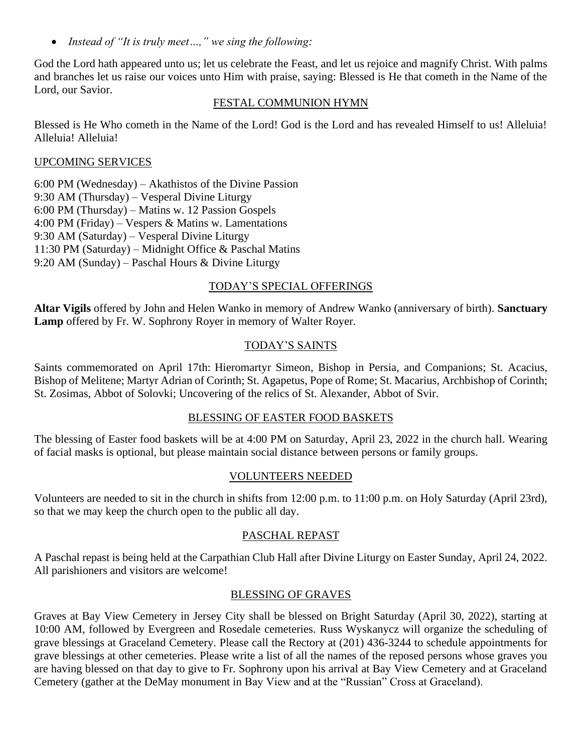• *Instead of "It is truly meet…," we sing the following:*

God the Lord hath appeared unto us; let us celebrate the Feast, and let us rejoice and magnify Christ. With palms and branches let us raise our voices unto Him with praise, saying: Blessed is He that cometh in the Name of the Lord, our Savior.

#### FESTAL COMMUNION HYMN

Blessed is He Who cometh in the Name of the Lord! God is the Lord and has revealed Himself to us! Alleluia! Alleluia! Alleluia!

#### UPCOMING SERVICES

6:00 PM (Wednesday) – Akathistos of the Divine Passion 9:30 AM (Thursday) – Vesperal Divine Liturgy 6:00 PM (Thursday) – Matins w. 12 Passion Gospels 4:00 PM (Friday) – Vespers & Matins w. Lamentations 9:30 AM (Saturday) – Vesperal Divine Liturgy 11:30 PM (Saturday) – Midnight Office & Paschal Matins 9:20 AM (Sunday) – Paschal Hours & Divine Liturgy

### TODAY'S SPECIAL OFFERINGS

**Altar Vigils** offered by John and Helen Wanko in memory of Andrew Wanko (anniversary of birth). **Sanctuary Lamp** offered by Fr. W. Sophrony Royer in memory of Walter Royer.

### TODAY'S SAINTS

Saints commemorated on April 17th: Hieromartyr Simeon, Bishop in Persia, and Companions; St. Acacius, Bishop of Melitene; Martyr Adrian of Corinth; St. Agapetus, Pope of Rome; St. Macarius, Archbishop of Corinth; St. Zosimas, Abbot of Solovki; Uncovering of the relics of St. Alexander, Abbot of Svir.

### BLESSING OF EASTER FOOD BASKETS

The blessing of Easter food baskets will be at 4:00 PM on Saturday, April 23, 2022 in the church hall. Wearing of facial masks is optional, but please maintain social distance between persons or family groups.

### VOLUNTEERS NEEDED

Volunteers are needed to sit in the church in shifts from 12:00 p.m. to 11:00 p.m. on Holy Saturday (April 23rd), so that we may keep the church open to the public all day.

### PASCHAL REPAST

A Paschal repast is being held at the Carpathian Club Hall after Divine Liturgy on Easter Sunday, April 24, 2022. All parishioners and visitors are welcome!

### BLESSING OF GRAVES

Graves at Bay View Cemetery in Jersey City shall be blessed on Bright Saturday (April 30, 2022), starting at 10:00 AM, followed by Evergreen and Rosedale cemeteries. Russ Wyskanycz will organize the scheduling of grave blessings at Graceland Cemetery. Please call the Rectory at (201) 436-3244 to schedule appointments for grave blessings at other cemeteries. Please write a list of all the names of the reposed persons whose graves you are having blessed on that day to give to Fr. Sophrony upon his arrival at Bay View Cemetery and at Graceland Cemetery (gather at the DeMay monument in Bay View and at the "Russian" Cross at Graceland).